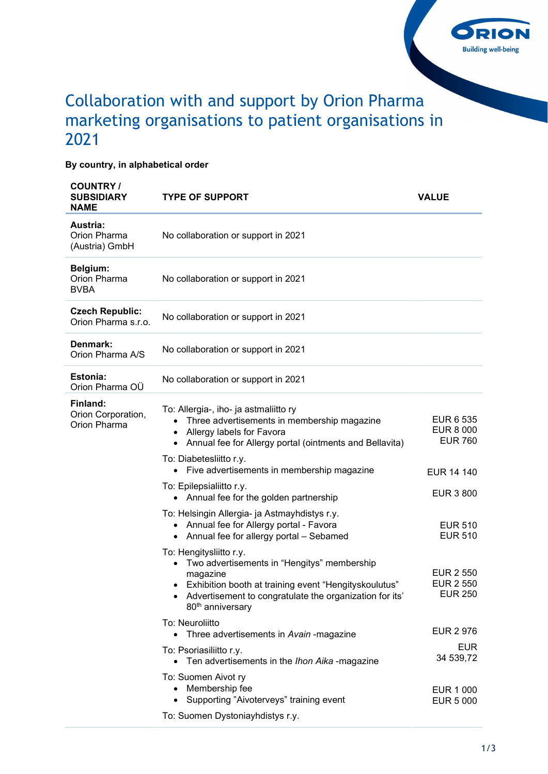

## Collaboration with and support by Orion Pharma marketing organisations to patient organisations in 2021

## By country, in alphabetical order

| <b>COUNTRY/</b><br><b>SUBSIDIARY</b><br><b>NAME</b> | <b>TYPE OF SUPPORT</b>                                                                                                                                                                                                                                             | <b>VALUE</b>                                           |
|-----------------------------------------------------|--------------------------------------------------------------------------------------------------------------------------------------------------------------------------------------------------------------------------------------------------------------------|--------------------------------------------------------|
| Austria:<br>Orion Pharma<br>(Austria) GmbH          | No collaboration or support in 2021                                                                                                                                                                                                                                |                                                        |
| Belgium:<br>Orion Pharma<br><b>BVBA</b>             | No collaboration or support in 2021                                                                                                                                                                                                                                |                                                        |
| <b>Czech Republic:</b><br>Orion Pharma s.r.o.       | No collaboration or support in 2021                                                                                                                                                                                                                                |                                                        |
| Denmark:<br>Orion Pharma A/S                        | No collaboration or support in 2021                                                                                                                                                                                                                                |                                                        |
| Estonia:<br>Orion Pharma OÜ                         | No collaboration or support in 2021                                                                                                                                                                                                                                |                                                        |
| Finland:<br>Orion Corporation,<br>Orion Pharma      | To: Allergia-, iho- ja astmaliitto ry<br>Three advertisements in membership magazine<br>$\bullet$<br>Allergy labels for Favora<br>٠<br>Annual fee for Allergy portal (ointments and Bellavita)<br>$\bullet$                                                        | EUR 6 535<br><b>EUR 8 000</b><br><b>EUR 760</b>        |
|                                                     | To: Diabetesliitto r.y.<br>• Five advertisements in membership magazine                                                                                                                                                                                            | EUR 14 140                                             |
|                                                     | To: Epilepsialiitto r.y.<br>Annual fee for the golden partnership<br>$\bullet$                                                                                                                                                                                     | <b>EUR 3 800</b>                                       |
|                                                     | To: Helsingin Allergia- ja Astmayhdistys r.y.<br>• Annual fee for Allergy portal - Favora<br>• Annual fee for allergy portal - Sebamed                                                                                                                             | <b>EUR 510</b><br><b>EUR 510</b>                       |
|                                                     | To: Hengitysliitto r.y.<br>Two advertisements in "Hengitys" membership<br>$\bullet$<br>magazine<br>Exhibition booth at training event "Hengityskoulutus"<br>$\bullet$<br>• Advertisement to congratulate the organization for its'<br>80 <sup>th</sup> anniversary | <b>EUR 2 550</b><br><b>EUR 2 550</b><br><b>EUR 250</b> |
|                                                     | To: Neuroliitto<br>• Three advertisements in Avain -magazine                                                                                                                                                                                                       | <b>EUR 2 976</b>                                       |
|                                                     | To: Psoriasiliitto r.y.<br>Ten advertisements in the Ihon Aika -magazine<br>$\bullet$                                                                                                                                                                              | <b>EUR</b><br>34 539,72                                |
|                                                     | To: Suomen Aivot ry<br>• Membership fee<br>Supporting "Aivoterveys" training event<br>$\bullet$                                                                                                                                                                    | <b>EUR 1 000</b><br><b>EUR 5 000</b>                   |
|                                                     | To: Suomen Dystoniayhdistys r.y.                                                                                                                                                                                                                                   |                                                        |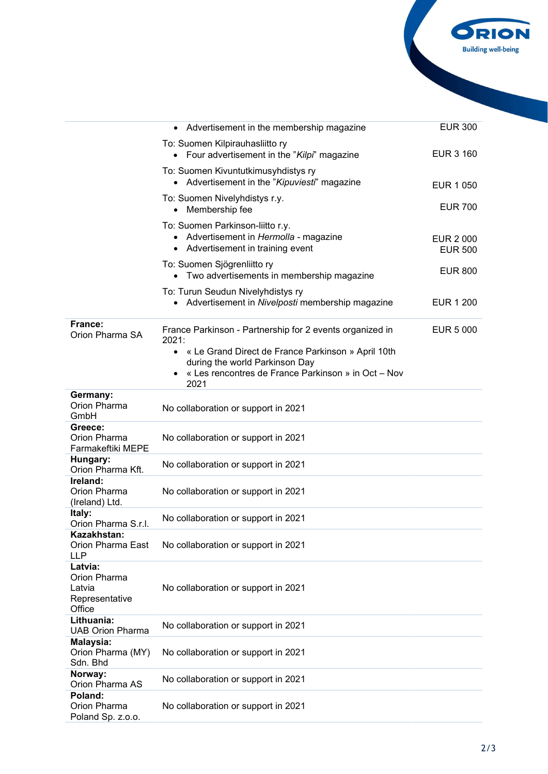

|                                                               | Advertisement in the membership magazine                                                                                                                         | <b>EUR 300</b>                     |
|---------------------------------------------------------------|------------------------------------------------------------------------------------------------------------------------------------------------------------------|------------------------------------|
|                                                               | To: Suomen Kilpirauhasliitto ry<br>• Four advertisement in the "Kilpi" magazine                                                                                  | <b>EUR 3 160</b>                   |
|                                                               | To: Suomen Kivuntutkimusyhdistys ry<br>• Advertisement in the "Kipuviesti" magazine                                                                              | EUR 1 050                          |
|                                                               | To: Suomen Nivelyhdistys r.y.<br>Membership fee<br>$\bullet$                                                                                                     | <b>EUR 700</b>                     |
|                                                               | To: Suomen Parkinson-liitto r.y.<br>• Advertisement in Hermolla - magazine<br>• Advertisement in training event                                                  | <b>EUR 2 000</b><br><b>EUR 500</b> |
|                                                               | To: Suomen Sjögrenliitto ry<br>• Two advertisements in membership magazine                                                                                       | <b>EUR 800</b>                     |
|                                                               | To: Turun Seudun Nivelyhdistys ry<br>Advertisement in Nivelposti membership magazine                                                                             | <b>EUR 1 200</b>                   |
| France:<br>Orion Pharma SA                                    | France Parkinson - Partnership for 2 events organized in<br>2021:                                                                                                | <b>EUR 5 000</b>                   |
|                                                               | « Le Grand Direct de France Parkinson » April 10th<br>$\bullet$<br>during the world Parkinson Day<br>« Les rencontres de France Parkinson » in Oct - Nov<br>2021 |                                    |
| Germany:<br>Orion Pharma<br>GmbH                              | No collaboration or support in 2021                                                                                                                              |                                    |
| Greece:<br>Orion Pharma<br>Farmakeftiki MEPE                  | No collaboration or support in 2021                                                                                                                              |                                    |
| Hungary:<br>Orion Pharma Kft.                                 | No collaboration or support in 2021                                                                                                                              |                                    |
| Ireland:<br>Orion Pharma<br>(Ireland) Ltd.                    | No collaboration or support in 2021                                                                                                                              |                                    |
| Italy:<br>Orion Pharma S.r.l.                                 | No collaboration or support in 2021                                                                                                                              |                                    |
| Kazakhstan:<br>Orion Pharma East<br>LLP                       | No collaboration or support in 2021                                                                                                                              |                                    |
| Latvia:<br>Orion Pharma<br>Latvia<br>Representative<br>Office | No collaboration or support in 2021                                                                                                                              |                                    |
| Lithuania:<br><b>UAB Orion Pharma</b>                         | No collaboration or support in 2021                                                                                                                              |                                    |
| Malaysia:<br>Orion Pharma (MY)<br>Sdn. Bhd                    | No collaboration or support in 2021                                                                                                                              |                                    |
| Norway:<br>Orion Pharma AS                                    | No collaboration or support in 2021                                                                                                                              |                                    |
| Poland:<br>Orion Pharma<br>Poland Sp. z.o.o.                  | No collaboration or support in 2021                                                                                                                              |                                    |